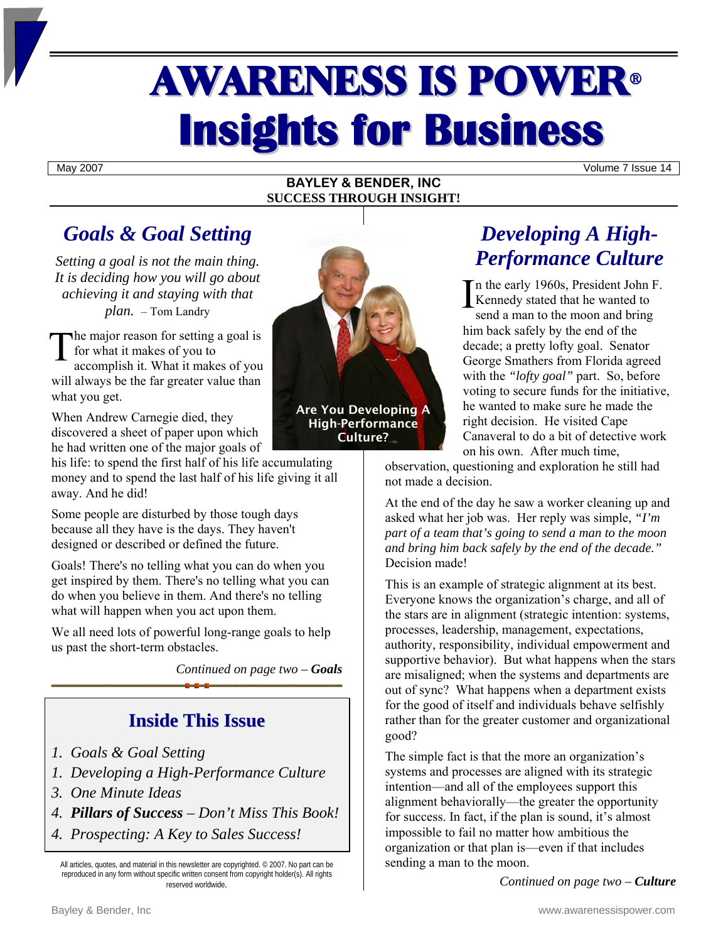# **AWARENESS IS POWER® Insights for Business**

May 2007 Volume 7 Issue 14

#### **BAYLEY & BENDER, INC SUCCESS THROUGH INSIGHT!**

# *Goals & Goal Setting*

*Setting a goal is not the main thing. It is deciding how you will go about achieving it and staying with that plan.* – Tom Landry

The major reason for setting a goal is<br>for what it makes of you to<br>accomplish it What it makes of you for what it makes of you to

accomplish it. What it makes of you will always be the far greater value than what you get.

When Andrew Carnegie died, they discovered a sheet of paper upon which he had written one of the major goals of

his life: to spend the first half of his life accumulating money and to spend the last half of his life giving it all away. And he did!

Some people are disturbed by those tough days because all they have is the days. They haven't designed or described or defined the future.

Goals! There's no telling what you can do when you get inspired by them. There's no telling what you can do when you believe in them. And there's no telling what will happen when you act upon them.

We all need lots of powerful long-range goals to help us past the short-term obstacles.

*Continued on page two – Goals* 

# **Inside This Issue**

- *1. Goals & Goal Setting*
- *1. Developing a High-Performance Culture*
- *3. One Minute Ideas*
- *4. Pillars of Success Don't Miss This Book!*
- *4. Prospecting: A Key to Sales Success!*

All articles, quotes, and material in this newsletter are copyrighted. © 2007. No part can be reproduced in any form without specific written consent from copyright holder(s). All rights reserved worldwide*.*



High-Performance Culture?

# *Developing A High-Performance Culture*

In the early 1960s, President John F.<br>
Kennedy stated that he wanted to<br>
send a man to the moon and bring Kennedy stated that he wanted to

send a man to the moon and bring him back safely by the end of the decade; a pretty lofty goal. Senator George Smathers from Florida agreed with the *"lofty goal"* part. So, before voting to secure funds for the initiative, he wanted to make sure he made the right decision. He visited Cape Canaveral to do a bit of detective work on his own. After much time,

observation, questioning and exploration he still had not made a decision.

At the end of the day he saw a worker cleaning up and asked what her job was. Her reply was simple, *"I'm part of a team that's going to send a man to the moon and bring him back safely by the end of the decade."* Decision made!

This is an example of strategic alignment at its best. Everyone knows the organization's charge, and all of the stars are in alignment (strategic intention: systems, processes, leadership, management, expectations, authority, responsibility, individual empowerment and supportive behavior). But what happens when the stars are misaligned; when the systems and departments are out of sync? What happens when a department exists for the good of itself and individuals behave selfishly rather than for the greater customer and organizational good?

The simple fact is that the more an organization's systems and processes are aligned with its strategic intention—and all of the employees support this alignment behaviorally—the greater the opportunity for success. In fact, if the plan is sound, it's almost impossible to fail no matter how ambitious the organization or that plan is—even if that includes sending a man to the moon.

*Continued on page two – Culture*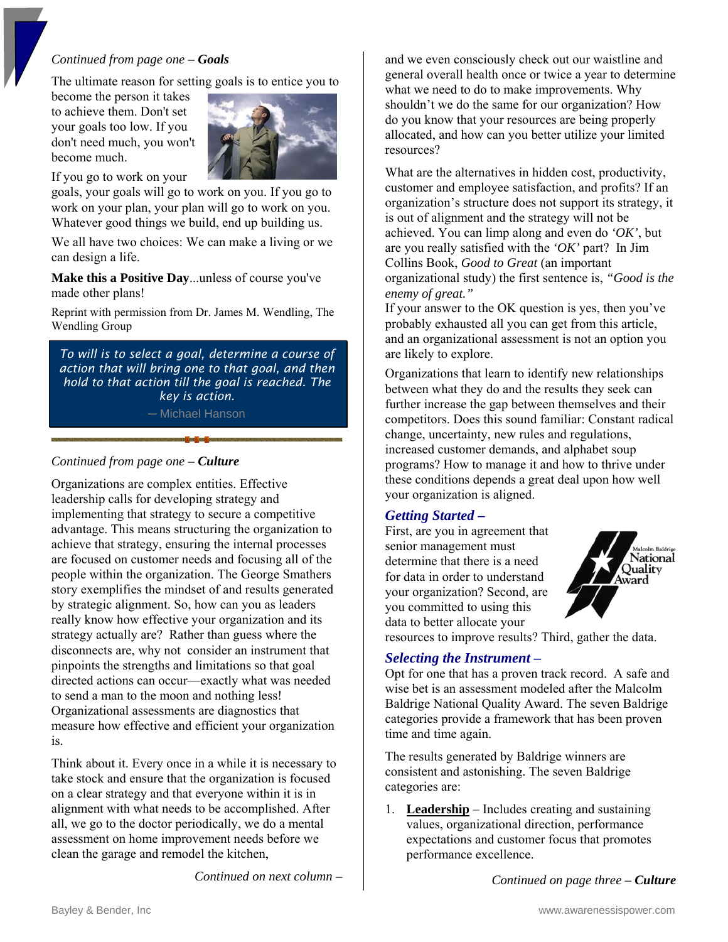#### *Continued from page one – Goals*

The ultimate reason for setting goals is to entice you to

become the person it takes to achieve them. Don't set your goals too low. If you don't need much, you won't become much.



If you go to work on your

goals, your goals will go to work on you. If you go to work on your plan, your plan will go to work on you. Whatever good things we build, end up building us.

We all have two choices: We can make a living or we can design a life.

**Make this a Positive Day**...unless of course you've made other plans!

Reprint with permission from Dr. James M. Wendling, The Wendling Group

*To will is to select a goal, determine a course of action that will bring one to that goal, and then hold to that action till the goal is reached. The key is action.*  ─ Michael Hanson

#### *Continued from page one – Culture*

Organizations are complex entities. Effective leadership calls for developing strategy and implementing that strategy to secure a competitive advantage. This means structuring the organization to achieve that strategy, ensuring the internal processes are focused on customer needs and focusing all of the people within the organization. The George Smathers story exemplifies the mindset of and results generated by strategic alignment. So, how can you as leaders really know how effective your organization and its strategy actually are? Rather than guess where the disconnects are, why not consider an instrument that pinpoints the strengths and limitations so that goal directed actions can occur—exactly what was needed to send a man to the moon and nothing less! Organizational assessments are diagnostics that measure how effective and efficient your organization is.

Think about it. Every once in a while it is necessary to take stock and ensure that the organization is focused on a clear strategy and that everyone within it is in alignment with what needs to be accomplished. After all, we go to the doctor periodically, we do a mental assessment on home improvement needs before we clean the garage and remodel the kitchen,

*Continued on next column –*

and we even consciously check out our waistline and general overall health once or twice a year to determine what we need to do to make improvements. Why shouldn't we do the same for our organization? How do you know that your resources are being properly allocated, and how can you better utilize your limited resources?

What are the alternatives in hidden cost, productivity, customer and employee satisfaction, and profits? If an organization's structure does not support its strategy, it is out of alignment and the strategy will not be achieved. You can limp along and even do *'OK'*, but are you really satisfied with the *'OK'* part? In Jim Collins Book, *Good to Great* (an important organizational study) the first sentence is, *"Good is the enemy of great."* 

If your answer to the OK question is yes, then you've probably exhausted all you can get from this article, and an organizational assessment is not an option you are likely to explore.

Organizations that learn to identify new relationships between what they do and the results they seek can further increase the gap between themselves and their competitors. Does this sound familiar: Constant radical change, uncertainty, new rules and regulations, increased customer demands, and alphabet soup programs? How to manage it and how to thrive under these conditions depends a great deal upon how well your organization is aligned.

#### *Getting Started –*

First, are you in agreement that senior management must determine that there is a need for data in order to understand your organization? Second, are you committed to using this data to better allocate your



resources to improve results? Third, gather the data.

#### *Selecting the Instrument –*

Opt for one that has a proven track record. A safe and wise bet is an assessment modeled after the Malcolm Baldrige National Quality Award. The seven Baldrige categories provide a framework that has been proven time and time again.

The results generated by Baldrige winners are consistent and astonishing. The seven Baldrige categories are:

1. **Leadership** – Includes creating and sustaining values, organizational direction, performance expectations and customer focus that promotes performance excellence.

*Continued on page three – Culture*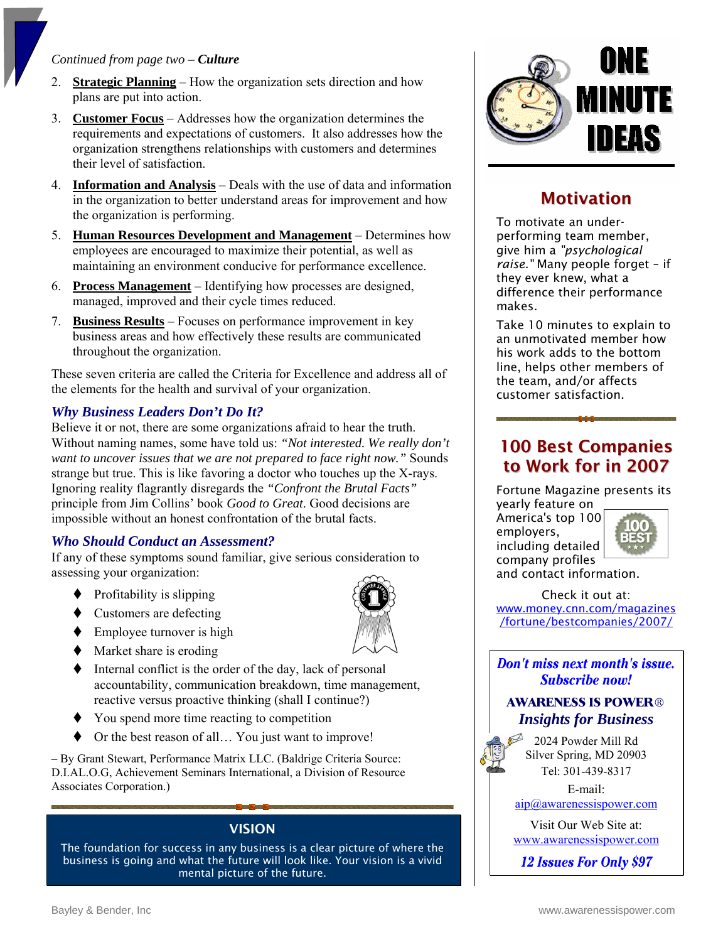#### *Continued from page two – Culture*

- 2. **Strategic Planning** How the organization sets direction and how plans are put into action.
- 3. **Customer Focus** Addresses how the organization determines the requirements and expectations of customers. It also addresses how the organization strengthens relationships with customers and determines their level of satisfaction.
- 4. **Information and Analysis** Deals with the use of data and information in the organization to better understand areas for improvement and how the organization is performing.
- 5. **Human Resources Development and Management** Determines how employees are encouraged to maximize their potential, as well as maintaining an environment conducive for performance excellence.
- 6. **Process Management** Identifying how processes are designed, managed, improved and their cycle times reduced.
- 7. **Business Results** Focuses on performance improvement in key business areas and how effectively these results are communicated throughout the organization.

These seven criteria are called the Criteria for Excellence and address all of the elements for the health and survival of your organization.

#### *Why Business Leaders Don't Do It?*

Believe it or not, there are some organizations afraid to hear the truth. Without naming names, some have told us: *"Not interested. We really don't want to uncover issues that we are not prepared to face right now."* Sounds strange but true. This is like favoring a doctor who touches up the X-rays. Ignoring reality flagrantly disregards the *"Confront the Brutal Facts"* principle from Jim Collins' book *Good to Great*. Good decisions are impossible without an honest confrontation of the brutal facts.

#### *Who Should Conduct an Assessment?*

If any of these symptoms sound familiar, give serious consideration to assessing your organization:

- Profitability is slipping
- $\bullet$  Customers are defecting
- $\blacklozenge$  Employee turnover is high
- $\blacklozenge$  Market share is eroding
- $\blacklozenge$  Internal conflict is the order of the day, lack of personal accountability, communication breakdown, time management, reactive versus proactive thinking (shall I continue?)
- You spend more time reacting to competition
- Or the best reason of all… You just want to improve!

– By Grant Stewart, Performance Matrix LLC. (Baldrige Criteria Source: D.I.AL.O.G, Achievement Seminars International, a Division of Resource Associates Corporation.)

#### VISION

The foundation for success in any business is a clear picture of where the business is going and what the future will look like. Your vision is a vivid mental picture of the future.



# **Motivation**

To motivate an underperforming team member, give him a *"psychological raise."* Many people forget – if they ever knew, what a difference their performance makes.

Take 10 minutes to explain to an unmotivated member how his work adds to the bottom line, helps other members of the team, and/or affects customer satisfaction.

## 100 Best Companies to Work for in 2007

Fortune Magazine presents its

yearly feature on America's top 100 employers, including detailed



company profiles and contact information.

Check it out at: [www.money.cnn.com/magazines](www.money.cnn.com/magazines/fortune/bestcompanies/2007/) /fortune/bestcompanies/2007/

Don't miss next month's issue. **Subscribe now!** 

#### **AWARENESS IS POWER®** *Insights for Business*

2024 Powder Mill Rd Silver Spring, MD 20903 Tel: 301-439-8317

> E-mail: [aip@awarenessispower.com](mailto: aip@awarenessispower.com)

> Visit Our Web Site at: <www.awarenessispower.com>

12 **Issues For Only \$97**